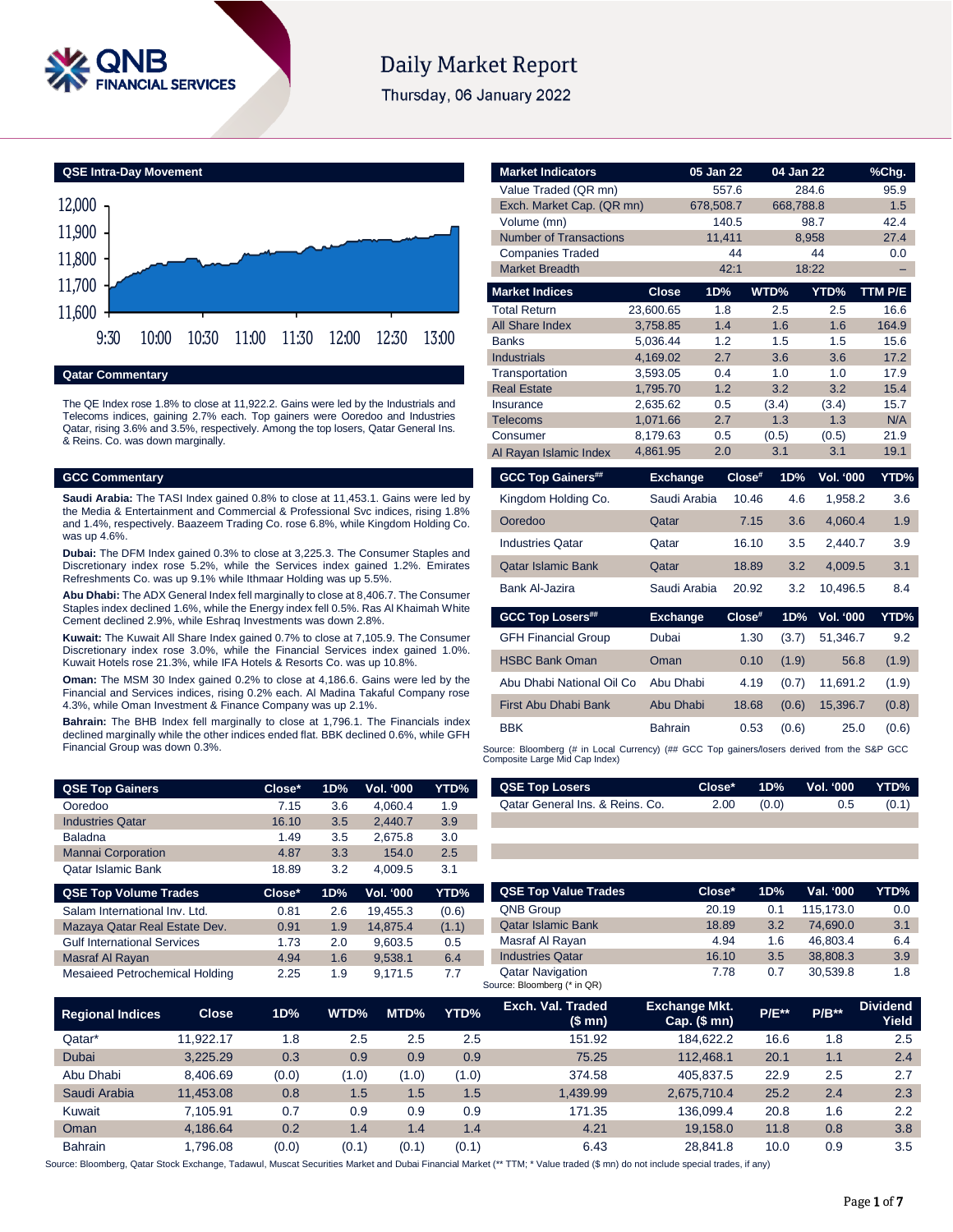

# **Daily Market Report**

Thursday, 06 January 2022



# **Qatar Commentary**

The QE Index rose 1.8% to close at 11,922.2. Gains were led by the Industrials and Telecoms indices, gaining 2.7% each. Top gainers were Ooredoo and Industries Qatar, rising 3.6% and 3.5%, respectively. Among the top losers, Qatar General Ins. & Reins. Co. was down marginally.

#### **GCC Commentary**

**Saudi Arabia:** The TASI Index gained 0.8% to close at 11,453.1. Gains were led by the Media & Entertainment and Commercial & Professional Svc indices, rising 1.8% and 1.4%, respectively. Baazeem Trading Co. rose 6.8%, while Kingdom Holding Co. was up 4.6%.

**Dubai:** The DFM Index gained 0.3% to close at 3,225.3. The Consumer Staples and Discretionary index rose 5.2%, while the Services index gained 1.2%. Emirates Refreshments Co. was up 9.1% while Ithmaar Holding was up 5.5%.

**Abu Dhabi:** The ADX General Index fell marginally to close at 8,406.7. The Consumer Staples index declined 1.6%, while the Energy index fell 0.5%. Ras Al Khaimah White Cement declined 2.9%, while Eshraq Investments was down 2.8%.

**Kuwait:** The Kuwait All Share Index gained 0.7% to close at 7,105.9. The Consumer Discretionary index rose 3.0%, while the Financial Services index gained 1.0%. Kuwait Hotels rose 21.3%, while IFA Hotels & Resorts Co. was up 10.8%.

**Oman:** The MSM 30 Index gained 0.2% to close at 4,186.6. Gains were led by the Financial and Services indices, rising 0.2% each. Al Madina Takaful Company rose 4.3%, while Oman Investment & Finance Company was up 2.1%.

**Bahrain:** The BHB Index fell marginally to close at 1,796.1. The Financials index declined marginally while the other indices ended flat. BBK declined 0.6%, while GFH Financial Group was down 0.3%.

| <b>QSE Top Gainers</b>    | Close* | 1D% | Vol. '000 | YTD% |
|---------------------------|--------|-----|-----------|------|
| Ooredoo                   | 7.15   | 3.6 | 4.060.4   | 1.9  |
| <b>Industries Qatar</b>   | 16.10  | 3.5 | 2.440.7   | 3.9  |
| <b>Baladna</b>            | 1.49   | 3.5 | 2.675.8   | 3.0  |
| <b>Mannai Corporation</b> | 4.87   | 3.3 | 154.0     | 2.5  |
| <b>Qatar Islamic Bank</b> | 18.89  | 3.2 | 4.009.5   | 3.1  |

| <b>QSE Top Volume Trades</b>          | $Close^*$ | 1D% | <b>Vol. '000</b> | YTD%  |
|---------------------------------------|-----------|-----|------------------|-------|
| Salam International Inv. Ltd.         | 0.81      | 2.6 | 19.455.3         | (0.6) |
| Mazaya Qatar Real Estate Dev.         | 0.91      | 1.9 | 14.875.4         | (1.1) |
| <b>Gulf International Services</b>    | 1.73      | 2.0 | 9.603.5          | 0.5   |
| Masraf Al Rayan                       | 4.94      | 1.6 | 9,538.1          | 6.4   |
| <b>Mesaieed Petrochemical Holding</b> | 2.25      | 1.9 | 9.171.5          | 7.7   |

| <b>Market Indicators</b>                         |                      | 05 Jan 22          | 04 Jan 22  |                  | %Chg.         |
|--------------------------------------------------|----------------------|--------------------|------------|------------------|---------------|
| Value Traded (QR mn)                             |                      | 557.6              |            | 284.6            | 95.9          |
| Exch. Market Cap. (QR mn)                        |                      | 678,508.7          | 668,788.8  |                  | 1.5           |
| Volume (mn)                                      |                      | 140.5              |            | 98.7             | 42.4          |
| <b>Number of Transactions</b>                    |                      | 11,411             |            | 8,958            | 27.4          |
| <b>Companies Traded</b><br><b>Market Breadth</b> |                      | 44<br>42:1         |            | 44<br>18:22      | 0.0           |
|                                                  |                      |                    |            |                  |               |
| <b>Market Indices</b>                            | <b>Close</b>         | 1D%                | WTD%       | YTD%             | TTM P/E       |
| <b>Total Return</b>                              | 23.600.65            | 1.8                | 2.5        | 2.5              | 16.6          |
| All Share Index                                  | 3,758.85             | 1.4                | 1.6        | 1.6              | 164.9         |
| <b>Banks</b>                                     | 5,036.44             | 1.2                | 1.5        | 1.5              | 15.6          |
| <b>Industrials</b>                               | 4,169.02             | 2.7                | 3.6        | 3.6              | 17.2          |
| Transportation<br><b>Real Estate</b>             | 3,593.05<br>1,795.70 | 0.4<br>1.2         | 1.0<br>3.2 | 1.0<br>3.2       | 17.9<br>15.4  |
| Insurance                                        | 2,635.62             | 0.5                | (3.4)      | (3.4)            | 15.7          |
| Telecoms                                         | 1,071.66             | 2.7                | 1.3        | 1.3              | N/A           |
| Consumer                                         | 8,179.63             | 0.5                | (0.5)      | (0.5)            | 21.9          |
| Al Rayan Islamic Index                           | 4,861.95             | 2.0                | 3.1        | 3.1              | 19.1          |
|                                                  |                      |                    |            |                  |               |
|                                                  |                      |                    |            |                  |               |
| <b>GCC Top Gainers##</b>                         | <b>Exchange</b>      | Close <sup>#</sup> | 1D%        | <b>Vol. '000</b> | YTD%          |
| Kingdom Holding Co.                              | Saudi Arabia         | 10.46              | 4.6        | 1,958.2          | 3.6           |
| Ooredoo                                          | Qatar                | 7.15               | 3.6        | 4,060.4          | 1.9           |
| <b>Industries Qatar</b>                          | Qatar                | 16.10              | 3.5        | 2.440.7          | 3.9           |
| <b>Qatar Islamic Bank</b>                        | Qatar                | 18.89              | 3.2        | 4,009.5          | 3.1           |
| Bank Al-Jazira                                   | Saudi Arabia         | 20.92              | 3.2        | 10,496.5         | 8.4           |
| <b>GCC Top Losers##</b>                          | <b>Exchange</b>      | Close#             | 1D%        | <b>Vol. '000</b> |               |
| <b>GFH Financial Group</b>                       | Dubai                | 1.30               | (3.7)      | 51,346.7         | 9.2           |
| <b>HSBC Bank Oman</b>                            | Oman                 | 0.10               | (1.9)      | 56.8             | (1.9)         |
| Abu Dhabi National Oil Co                        | Abu Dhabi            | 4.19               | (0.7)      | 11,691.2         | YTD%<br>(1.9) |
| <b>First Abu Dhabi Bank</b>                      | Abu Dhabi            | 18.68              | (0.6)      | 15,396.7         | (0.8)         |
| <b>BBK</b>                                       | <b>Bahrain</b>       | 0.53               | (0.6)      | 25.0             | (0.6)         |

| <b>QSE Top Losers</b>           |      |       | Close* 1D% Vol. 000 YTD% |       |
|---------------------------------|------|-------|--------------------------|-------|
| Qatar General Ins. & Reins. Co. | 2.00 | (0.0) | 0.5                      | (0.1) |

| <b>QSE Top Value Trades</b>                            | Close* | 1D% | Val. '000 | YTD% |
|--------------------------------------------------------|--------|-----|-----------|------|
| <b>QNB Group</b>                                       | 20.19  | 0.1 | 115,173.0 | 0.0  |
| <b>Qatar Islamic Bank</b>                              | 18.89  | 3.2 | 74.690.0  | 3.1  |
| Masraf Al Rayan                                        | 4.94   | 1.6 | 46.803.4  | 6.4  |
| <b>Industries Qatar</b>                                | 16.10  | 3.5 | 38,808.3  | 3.9  |
| <b>Qatar Navigation</b><br>Source: Bloomberg (* in QR) | 7.78   | 0.7 | 30.539.8  | 1.8  |

| <b>Regional Indices</b> | <b>Close</b> | 1D%   | WTD%  | MTD%  | YTD%  | Exch. Val. Traded<br>(\$mn) | <b>Exchange Mkt.</b><br>Cap. $($mn)$ | <b>P/E**</b> | $P/B**$ | <b>Dividend</b><br>Yield |
|-------------------------|--------------|-------|-------|-------|-------|-----------------------------|--------------------------------------|--------------|---------|--------------------------|
| Qatar*                  | 11.922.17    | 1.8   | 2.5   | 2.5   | 2.5   | 151.92                      | 184.622.2                            | 16.6         | 1.8     | 2.5                      |
| Dubai                   | 3.225.29     | 0.3   | 0.9   | 0.9   | 0.9   | 75.25                       | 112.468.1                            | 20.1         | 1.1     | 2.4                      |
| Abu Dhabi               | 8.406.69     | (0.0) | (1.0) | (1.0) | (1.0) | 374.58                      | 405.837.5                            | 22.9         | 2.5     | 2.7                      |
| Saudi Arabia            | 11.453.08    | 0.8   | 1.5   | 1.5   | 1.5   | 1.439.99                    | 2.675.710.4                          | 25.2         | 2.4     | 2.3                      |
| Kuwait                  | 7.105.91     | 0.7   | 0.9   | 0.9   | 0.9   | 171.35                      | 136.099.4                            | 20.8         | 1.6     | 2.2                      |
| Oman                    | 4.186.64     | 0.2   | 1.4   | 1.4   | 1.4   | 4.21                        | 19.158.0                             | 11.8         | 0.8     | 3.8                      |
| <b>Bahrain</b>          | 1.796.08     | (0.0) | (0.1) | (0.1) | (0.1) | 6.43                        | 28.841.8                             | 10.0         | 0.9     | 3.5                      |

Source: Bloomberg, Qatar Stock Exchange, Tadawul, Muscat Securities Market and Dubai Financial Market (\*\* TTM; \* Value traded (\$ mn) do not include special trades, if any)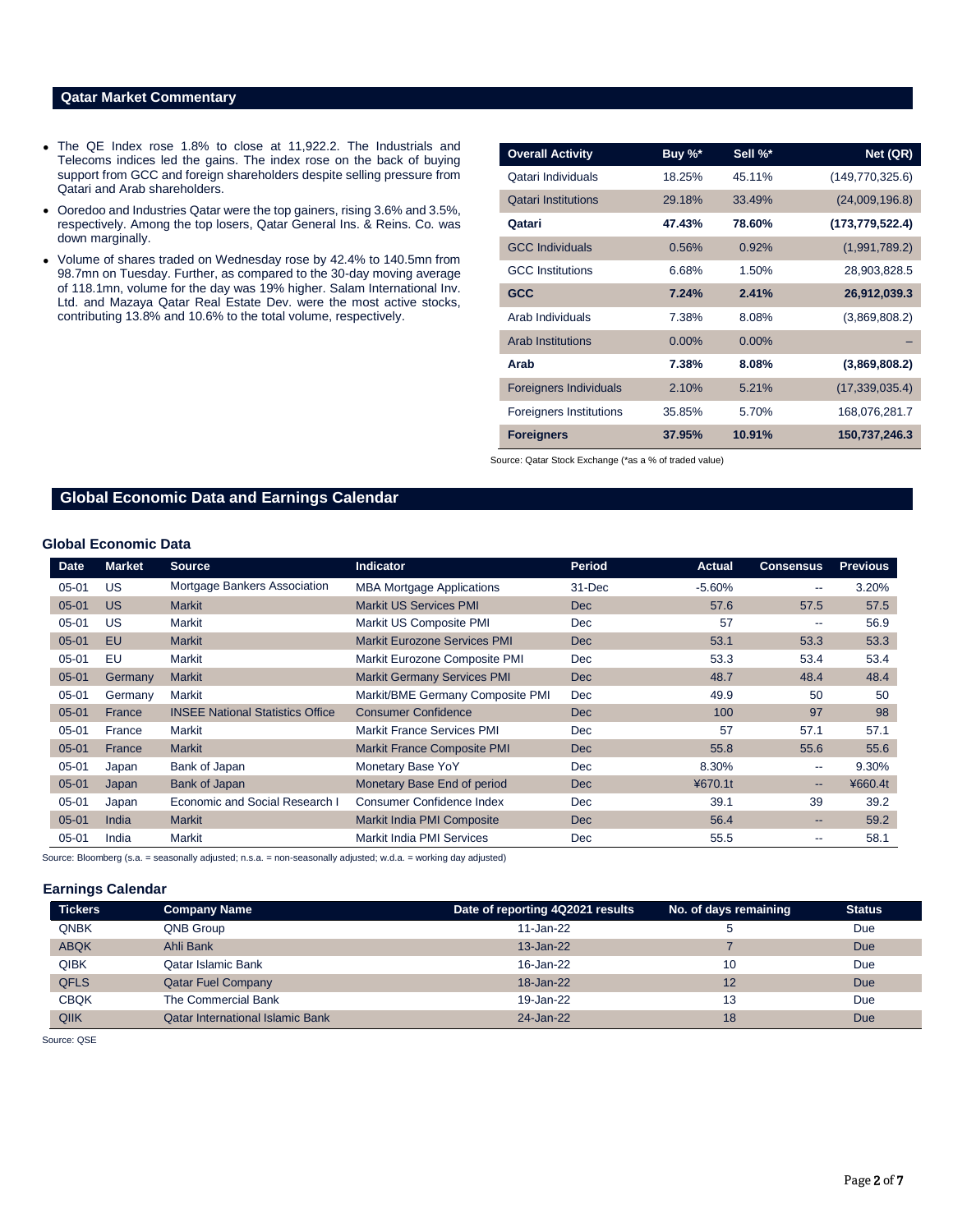## **Qatar Market Commentary**

- The QE Index rose 1.8% to close at 11,922.2. The Industrials and Telecoms indices led the gains. The index rose on the back of buying support from GCC and foreign shareholders despite selling pressure from Qatari and Arab shareholders.
- Ooredoo and Industries Qatar were the top gainers, rising 3.6% and 3.5%, respectively. Among the top losers, Qatar General Ins. & Reins. Co. was down marginally.
- Volume of shares traded on Wednesday rose by 42.4% to 140.5mn from 98.7mn on Tuesday. Further, as compared to the 30-day moving average of 118.1mn, volume for the day was 19% higher. Salam International Inv. Ltd. and Mazaya Qatar Real Estate Dev. were the most active stocks, contributing 13.8% and 10.6% to the total volume, respectively.

| <b>Overall Activity</b>        | Buy %*   | Sell %*  | Net (QR)          |
|--------------------------------|----------|----------|-------------------|
| Qatari Individuals             | 18.25%   | 45.11%   | (149, 770, 325.6) |
| <b>Oatari Institutions</b>     | 29.18%   | 33.49%   | (24,009,196.8)    |
| Qatari                         | 47.43%   | 78.60%   | (173, 779, 522.4) |
| <b>GCC Individuals</b>         | 0.56%    | 0.92%    | (1,991,789.2)     |
| <b>GCC</b> Institutions        | 6.68%    | 1.50%    | 28,903,828.5      |
| <b>GCC</b>                     | 7.24%    | 2.41%    | 26,912,039.3      |
| Arab Individuals               | 7.38%    | 8.08%    | (3,869,808.2)     |
| <b>Arab Institutions</b>       | $0.00\%$ | $0.00\%$ |                   |
| Arab                           | 7.38%    | 8.08%    | (3,869,808.2)     |
| <b>Foreigners Individuals</b>  | 2.10%    | 5.21%    | (17,339,035.4)    |
| <b>Foreigners Institutions</b> | 35.85%   | 5.70%    | 168,076,281.7     |
| <b>Foreigners</b>              | 37.95%   | 10.91%   | 150,737,246.3     |

Source: Qatar Stock Exchange (\*as a % of traded value)

# **Global Economic Data and Earnings Calendar**

### **Global Economic Data**

| <b>Date</b> | <b>Market</b> | <b>Source</b>                           | <b>Indicator</b>                    | <b>Period</b> | Actual   | <b>Consensus</b>         | <b>Previous</b> |
|-------------|---------------|-----------------------------------------|-------------------------------------|---------------|----------|--------------------------|-----------------|
| $05 - 01$   | <b>US</b>     | Mortgage Bankers Association            | <b>MBA Mortgage Applications</b>    | $31 - Dec$    | $-5.60%$ | $\overline{\phantom{a}}$ | 3.20%           |
| $05 - 01$   | <b>US</b>     | <b>Markit</b>                           | <b>Markit US Services PMI</b>       | <b>Dec</b>    | 57.6     | 57.5                     | 57.5            |
| $05 - 01$   | US            | Markit                                  | Markit US Composite PMI             | <b>Dec</b>    | 57       | $- -$                    | 56.9            |
| $05 - 01$   | EU.           | <b>Markit</b>                           | <b>Markit Eurozone Services PMI</b> | <b>Dec</b>    | 53.1     | 53.3                     | 53.3            |
| $05 - 01$   | EU            | Markit                                  | Markit Eurozone Composite PMI       | <b>Dec</b>    | 53.3     | 53.4                     | 53.4            |
| $05 - 01$   | Germany       | <b>Markit</b>                           | <b>Markit Germany Services PMI</b>  | <b>Dec</b>    | 48.7     | 48.4                     | 48.4            |
| $05 - 01$   | Germany       | Markit                                  | Markit/BME Germany Composite PMI    | <b>Dec</b>    | 49.9     | 50                       | 50              |
| $05 - 01$   | France        | <b>INSEE National Statistics Office</b> | <b>Consumer Confidence</b>          | <b>Dec</b>    | 100      | 97                       | 98              |
| $05 - 01$   | France        | Markit                                  | <b>Markit France Services PMI</b>   | <b>Dec</b>    | 57       | 57.1                     | 57.1            |
| $05 - 01$   | France        | <b>Markit</b>                           | <b>Markit France Composite PMI</b>  | <b>Dec</b>    | 55.8     | 55.6                     | 55.6            |
| $05 - 01$   | Japan         | Bank of Japan                           | Monetary Base YoY                   | <b>Dec</b>    | 8.30%    | $\overline{\phantom{a}}$ | 9.30%           |
| $05 - 01$   | Japan         | Bank of Japan                           | Monetary Base End of period         | <b>Dec</b>    | ¥670.1t  | $- -$                    | ¥660.4t         |
| $05 - 01$   | Japan         | Economic and Social Research I          | Consumer Confidence Index           | <b>Dec</b>    | 39.1     | 39                       | 39.2            |
| $05 - 01$   | India         | <b>Markit</b>                           | Markit India PMI Composite          | <b>Dec</b>    | 56.4     | --                       | 59.2            |
| $05 - 01$   | India         | Markit                                  | Markit India PMI Services           | <b>Dec</b>    | 55.5     | $- -$                    | 58.1            |

Source: Bloomberg (s.a. = seasonally adjusted; n.s.a. = non-seasonally adjusted; w.d.a. = working day adjusted)

### **Earnings Calendar**

| <b>Tickers</b> | <b>Company Name</b>                     | Date of reporting 4Q2021 results | No. of days remaining | <b>Status</b> |
|----------------|-----------------------------------------|----------------------------------|-----------------------|---------------|
| <b>QNBK</b>    | QNB Group                               | $11$ -Jan-22                     | э                     | Due           |
| <b>ABQK</b>    | Ahli Bank                               | $13 - Jan-22$                    |                       | Due           |
| <b>QIBK</b>    | Qatar Islamic Bank                      | 16-Jan-22                        | 10                    | Due           |
| <b>QFLS</b>    | <b>Qatar Fuel Company</b>               | 18-Jan-22                        | 12                    | Due           |
| <b>CBQK</b>    | The Commercial Bank                     | 19-Jan-22                        | 13                    | Due           |
| QIIK           | <b>Qatar International Islamic Bank</b> | 24-Jan-22                        | 18                    | Due           |

Source: QSE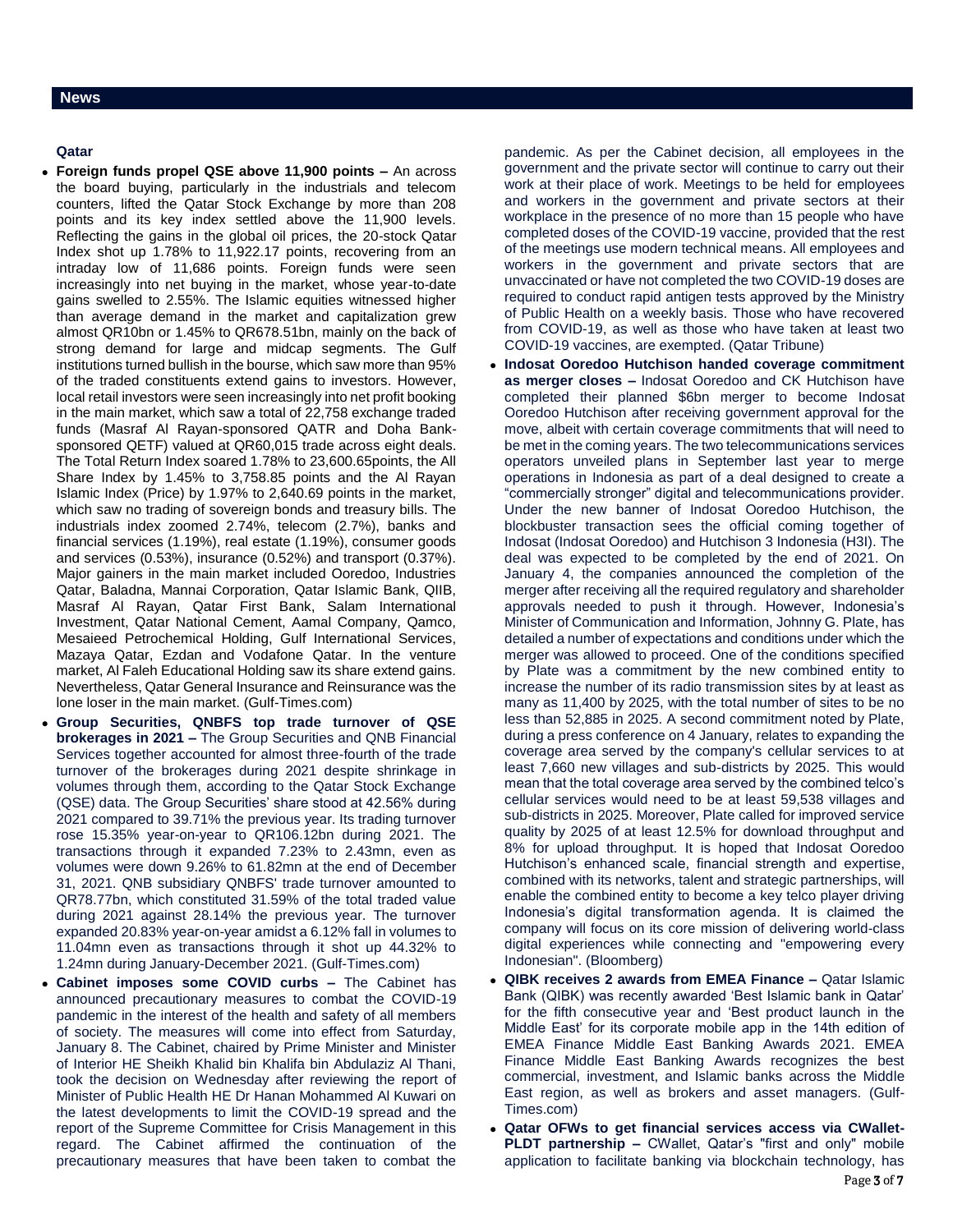# **Qatar**

- **Foreign funds propel QSE above 11,900 points –** An across the board buying, particularly in the industrials and telecom counters, lifted the Qatar Stock Exchange by more than 208 points and its key index settled above the 11,900 levels. Reflecting the gains in the global oil prices, the 20-stock Qatar Index shot up 1.78% to 11,922.17 points, recovering from an intraday low of 11,686 points. Foreign funds were seen increasingly into net buying in the market, whose year-to-date gains swelled to 2.55%. The Islamic equities witnessed higher than average demand in the market and capitalization grew almost QR10bn or 1.45% to QR678.51bn, mainly on the back of strong demand for large and midcap segments. The Gulf institutions turned bullish in the bourse, which saw more than 95% of the traded constituents extend gains to investors. However, local retail investors were seen increasingly into net profit booking in the main market, which saw a total of 22,758 exchange traded funds (Masraf Al Rayan-sponsored QATR and Doha Banksponsored QETF) valued at QR60,015 trade across eight deals. The Total Return Index soared 1.78% to 23,600.65points, the All Share Index by 1.45% to 3,758.85 points and the Al Rayan Islamic Index (Price) by 1.97% to 2,640.69 points in the market, which saw no trading of sovereign bonds and treasury bills. The industrials index zoomed 2.74%, telecom (2.7%), banks and financial services (1.19%), real estate (1.19%), consumer goods and services (0.53%), insurance (0.52%) and transport (0.37%). Major gainers in the main market included Ooredoo, Industries Qatar, Baladna, Mannai Corporation, Qatar Islamic Bank, QIIB, Masraf Al Rayan, Qatar First Bank, Salam International Investment, Qatar National Cement, Aamal Company, Qamco, Mesaieed Petrochemical Holding, Gulf International Services, Mazaya Qatar, Ezdan and Vodafone Qatar. In the venture market, Al Faleh Educational Holding saw its share extend gains. Nevertheless, Qatar General Insurance and Reinsurance was the lone loser in the main market. (Gulf-Times.com)
- **Group Securities, QNBFS top trade turnover of QSE brokerages in 2021 –** The Group Securities and QNB Financial Services together accounted for almost three-fourth of the trade turnover of the brokerages during 2021 despite shrinkage in volumes through them, according to the Qatar Stock Exchange (QSE) data. The Group Securities' share stood at 42.56% during 2021 compared to 39.71% the previous year. Its trading turnover rose 15.35% year-on-year to QR106.12bn during 2021. The transactions through it expanded 7.23% to 2.43mn, even as volumes were down 9.26% to 61.82mn at the end of December 31, 2021. QNB subsidiary QNBFS' trade turnover amounted to QR78.77bn, which constituted 31.59% of the total traded value during 2021 against 28.14% the previous year. The turnover expanded 20.83% year-on-year amidst a 6.12% fall in volumes to 11.04mn even as transactions through it shot up 44.32% to 1.24mn during January-December 2021. (Gulf-Times.com)
- **Cabinet imposes some COVID curbs –** The Cabinet has announced precautionary measures to combat the COVID-19 pandemic in the interest of the health and safety of all members of society. The measures will come into effect from Saturday, January 8. The Cabinet, chaired by Prime Minister and Minister of Interior HE Sheikh Khalid bin Khalifa bin Abdulaziz Al Thani, took the decision on Wednesday after reviewing the report of Minister of Public Health HE Dr Hanan Mohammed Al Kuwari on the latest developments to limit the COVID-19 spread and the report of the Supreme Committee for Crisis Management in this regard. The Cabinet affirmed the continuation of the precautionary measures that have been taken to combat the

pandemic. As per the Cabinet decision, all employees in the government and the private sector will continue to carry out their work at their place of work. Meetings to be held for employees and workers in the government and private sectors at their workplace in the presence of no more than 15 people who have completed doses of the COVID-19 vaccine, provided that the rest of the meetings use modern technical means. All employees and workers in the government and private sectors that are unvaccinated or have not completed the two COVID-19 doses are required to conduct rapid antigen tests approved by the Ministry of Public Health on a weekly basis. Those who have recovered from COVID-19, as well as those who have taken at least two COVID-19 vaccines, are exempted. (Qatar Tribune)

- **Indosat Ooredoo Hutchison handed coverage commitment as merger closes –** Indosat Ooredoo and CK Hutchison have completed their planned \$6bn merger to become Indosat Ooredoo Hutchison after receiving government approval for the move, albeit with certain coverage commitments that will need to be met in the coming years. The two telecommunications services operators unveiled plans in September last year to merge operations in Indonesia as part of a deal designed to create a "commercially stronger" digital and telecommunications provider. Under the new banner of Indosat Ooredoo Hutchison, the blockbuster transaction sees the official coming together of Indosat (Indosat Ooredoo) and Hutchison 3 Indonesia (H3I). The deal was expected to be completed by the end of 2021. On January 4, the companies announced the completion of the merger after receiving all the required regulatory and shareholder approvals needed to push it through. However, Indonesia's Minister of Communication and Information, Johnny G. Plate, has detailed a number of expectations and conditions under which the merger was allowed to proceed. One of the conditions specified by Plate was a commitment by the new combined entity to increase the number of its radio transmission sites by at least as many as 11,400 by 2025, with the total number of sites to be no less than 52,885 in 2025. A second commitment noted by Plate, during a press conference on 4 January, relates to expanding the coverage area served by the company's cellular services to at least 7,660 new villages and sub-districts by 2025. This would mean that the total coverage area served by the combined telco's cellular services would need to be at least 59,538 villages and sub-districts in 2025. Moreover, Plate called for improved service quality by 2025 of at least 12.5% for download throughput and 8% for upload throughput. It is hoped that Indosat Ooredoo Hutchison's enhanced scale, financial strength and expertise, combined with its networks, talent and strategic partnerships, will enable the combined entity to become a key telco player driving Indonesia's digital transformation agenda. It is claimed the company will focus on its core mission of delivering world-class digital experiences while connecting and "empowering every Indonesian". (Bloomberg)
- **QIBK receives 2 awards from EMEA Finance –** Qatar Islamic Bank (QIBK) was recently awarded 'Best Islamic bank in Qatar' for the fifth consecutive year and 'Best product launch in the Middle East' for its corporate mobile app in the 14th edition of EMEA Finance Middle East Banking Awards 2021. EMEA Finance Middle East Banking Awards recognizes the best commercial, investment, and Islamic banks across the Middle East region, as well as brokers and asset managers. (Gulf-Times.com)
- **Qatar OFWs to get financial services access via CWallet-PLDT partnership –** CWallet, Qatar's "first and only" mobile application to facilitate banking via blockchain technology, has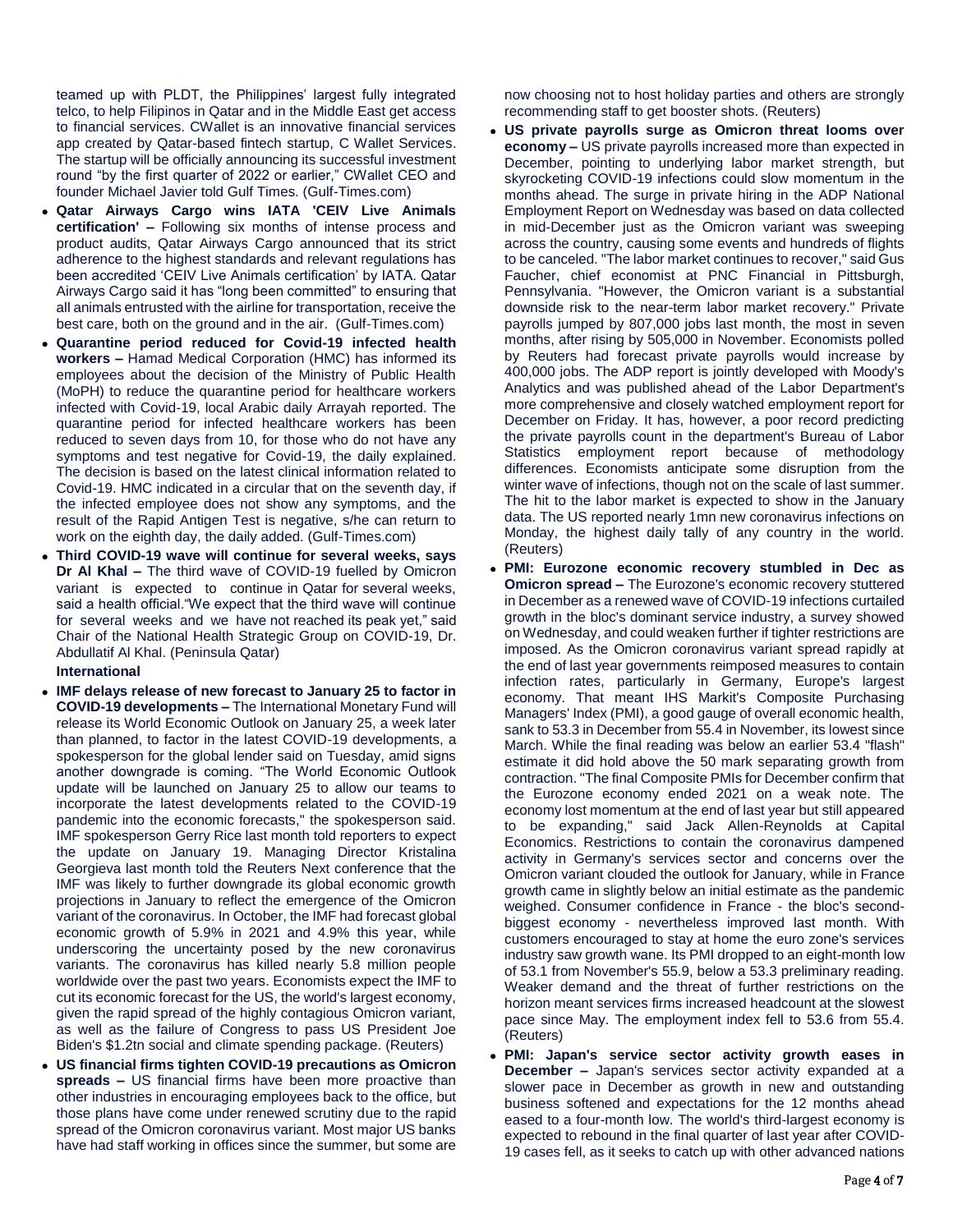teamed up with PLDT, the Philippines' largest fully integrated telco, to help Filipinos in Qatar and in the Middle East get access to financial services. CWallet is an innovative financial services app created by Qatar-based fintech startup, C Wallet Services. The startup will be officially announcing its successful investment round "by the first quarter of 2022 or earlier," CWallet CEO and founder Michael Javier told Gulf Times. (Gulf-Times.com)

- **Qatar Airways Cargo wins IATA 'CEIV Live Animals certification' –** Following six months of intense process and product audits, Qatar Airways Cargo announced that its strict adherence to the highest standards and relevant regulations has been accredited 'CEIV Live Animals certification' by IATA. Qatar Airways Cargo said it has "long been committed" to ensuring that all animals entrusted with the airline for transportation, receive the best care, both on the ground and in the air. (Gulf-Times.com)
- **Quarantine period reduced for Covid-19 infected health workers –** Hamad Medical Corporation (HMC) has informed its employees about the decision of the Ministry of Public Health (MoPH) to reduce the quarantine period for healthcare workers infected with Covid-19, local Arabic daily Arrayah reported. The quarantine period for infected healthcare workers has been reduced to seven days from 10, for those who do not have any symptoms and test negative for Covid-19, the daily explained. The decision is based on the latest clinical information related to Covid-19. HMC indicated in a circular that on the seventh day, if the infected employee does not show any symptoms, and the result of the Rapid Antigen Test is negative, s/he can return to work on the eighth day, the daily added. (Gulf-Times.com)
- **Third COVID-19 wave will continue for several weeks, says Dr Al Khal –** The third wave of COVID-19 fuelled by Omicron variant is expected to continue in Qatar for several weeks, said a health official."We expect that the third wave will continue for several weeks and we have not reached its peak yet," said Chair of the National Health Strategic Group on COVID-19, Dr. Abdullatif Al Khal. (Peninsula Qatar)

**International**

- **IMF delays release of new forecast to January 25 to factor in COVID-19 developments –** The International Monetary Fund will release its World Economic Outlook on January 25, a week later than planned, to factor in the latest COVID-19 developments, a spokesperson for the global lender said on Tuesday, amid signs another downgrade is coming. "The World Economic Outlook update will be launched on January 25 to allow our teams to incorporate the latest developments related to the COVID-19 pandemic into the economic forecasts," the spokesperson said. IMF spokesperson Gerry Rice last month told reporters to expect the update on January 19. Managing Director Kristalina Georgieva last month told the Reuters Next conference that the IMF was likely to further downgrade its global economic growth projections in January to reflect the emergence of the Omicron variant of the coronavirus. In October, the IMF had forecast global economic growth of 5.9% in 2021 and 4.9% this year, while underscoring the uncertainty posed by the new coronavirus variants. The coronavirus has killed nearly 5.8 million people worldwide over the past two years. Economists expect the IMF to cut its economic forecast for the US, the world's largest economy, given the rapid spread of the highly contagious Omicron variant, as well as the failure of Congress to pass US President Joe Biden's \$1.2tn social and climate spending package. (Reuters)
- **US financial firms tighten COVID-19 precautions as Omicron spreads –** US financial firms have been more proactive than other industries in encouraging employees back to the office, but those plans have come under renewed scrutiny due to the rapid spread of the Omicron coronavirus variant. Most major US banks have had staff working in offices since the summer, but some are

now choosing not to host holiday parties and others are strongly recommending staff to get booster shots. (Reuters)

- **US private payrolls surge as Omicron threat looms over economy –** US private payrolls increased more than expected in December, pointing to underlying labor market strength, but skyrocketing COVID-19 infections could slow momentum in the months ahead. The surge in private hiring in the ADP National Employment Report on Wednesday was based on data collected in mid-December just as the Omicron variant was sweeping across the country, causing some events and hundreds of flights to be canceled. "The labor market continues to recover," said Gus Faucher, chief economist at PNC Financial in Pittsburgh, Pennsylvania. "However, the Omicron variant is a substantial downside risk to the near-term labor market recovery." Private payrolls jumped by 807,000 jobs last month, the most in seven months, after rising by 505,000 in November. Economists polled by Reuters had forecast private payrolls would increase by 400,000 jobs. The ADP report is jointly developed with Moody's Analytics and was published ahead of the Labor Department's more comprehensive and closely watched employment report for December on Friday. It has, however, a poor record predicting the private payrolls count in the department's Bureau of Labor Statistics employment report because of methodology differences. Economists anticipate some disruption from the winter wave of infections, though not on the scale of last summer. The hit to the labor market is expected to show in the January data. The US reported nearly 1mn new coronavirus infections on Monday, the highest daily tally of any country in the world. (Reuters)
- **PMI: Eurozone economic recovery stumbled in Dec as Omicron spread –** The Eurozone's economic recovery stuttered in December as a renewed wave of COVID-19 infections curtailed growth in the bloc's dominant service industry, a survey showed on Wednesday, and could weaken further if tighter restrictions are imposed. As the Omicron coronavirus variant spread rapidly at the end of last year governments reimposed measures to contain infection rates, particularly in Germany, Europe's largest economy. That meant IHS Markit's Composite Purchasing Managers' Index (PMI), a good gauge of overall economic health, sank to 53.3 in December from 55.4 in November, its lowest since March. While the final reading was below an earlier 53.4 "flash" estimate it did hold above the 50 mark separating growth from contraction. "The final Composite PMIs for December confirm that the Eurozone economy ended 2021 on a weak note. The economy lost momentum at the end of last year but still appeared to be expanding," said Jack Allen-Reynolds at Capital Economics. Restrictions to contain the coronavirus dampened activity in Germany's services sector and concerns over the Omicron variant clouded the outlook for January, while in France growth came in slightly below an initial estimate as the pandemic weighed. Consumer confidence in France - the bloc's secondbiggest economy - nevertheless improved last month. With customers encouraged to stay at home the euro zone's services industry saw growth wane. Its PMI dropped to an eight-month low of 53.1 from November's 55.9, below a 53.3 preliminary reading. Weaker demand and the threat of further restrictions on the horizon meant services firms increased headcount at the slowest pace since May. The employment index fell to 53.6 from 55.4. (Reuters)
- **PMI: Japan's service sector activity growth eases in December –** Japan's services sector activity expanded at a slower pace in December as growth in new and outstanding business softened and expectations for the 12 months ahead eased to a four-month low. The world's third-largest economy is expected to rebound in the final quarter of last year after COVID-19 cases fell, as it seeks to catch up with other advanced nations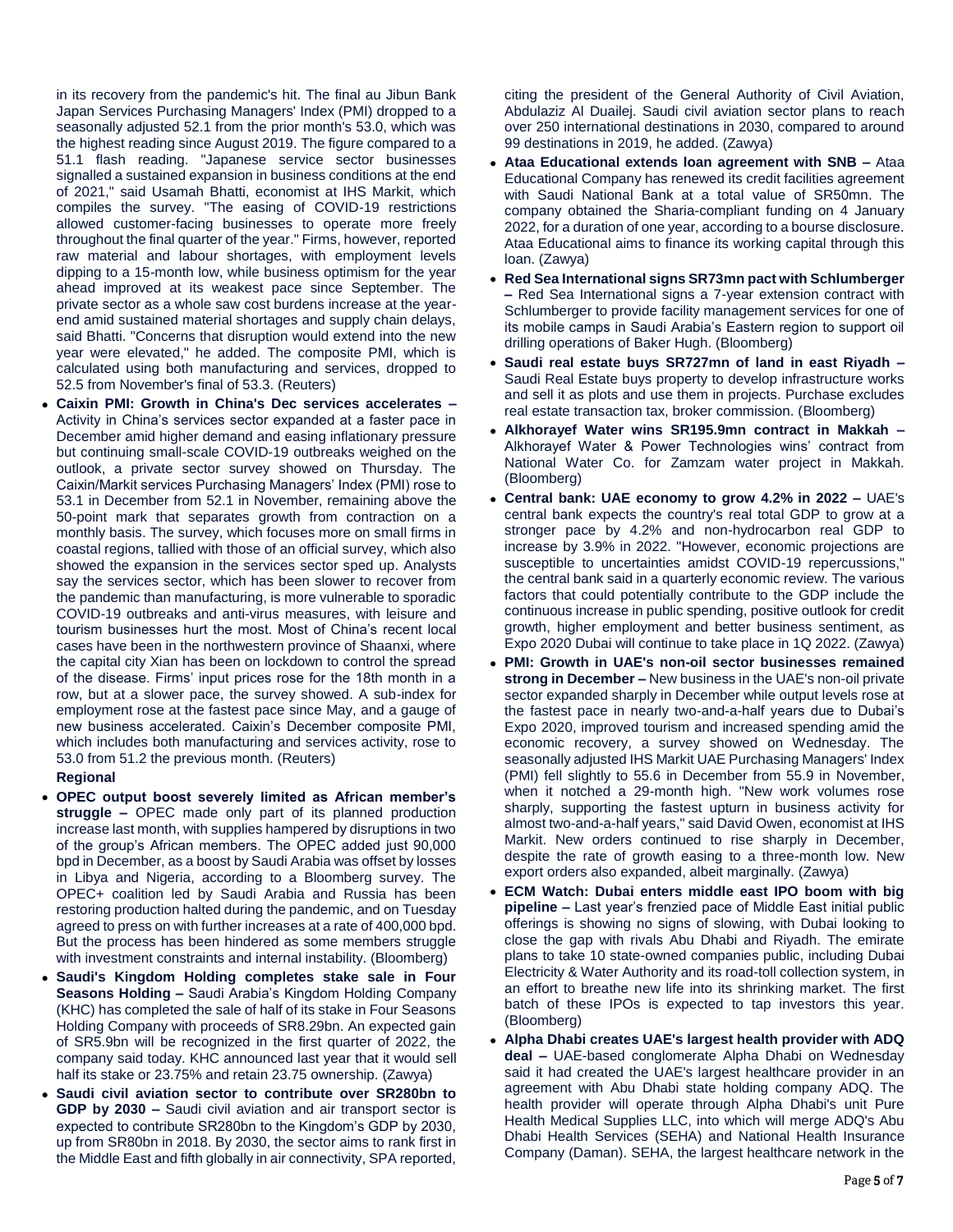in its recovery from the pandemic's hit. The final au Jibun Bank Japan Services Purchasing Managers' Index (PMI) dropped to a seasonally adjusted 52.1 from the prior month's 53.0, which was the highest reading since August 2019. The figure compared to a 51.1 flash reading. "Japanese service sector businesses signalled a sustained expansion in business conditions at the end of 2021," said Usamah Bhatti, economist at IHS Markit, which compiles the survey. "The easing of COVID-19 restrictions allowed customer-facing businesses to operate more freely throughout the final quarter of the year." Firms, however, reported raw material and labour shortages, with employment levels dipping to a 15-month low, while business optimism for the year ahead improved at its weakest pace since September. The private sector as a whole saw cost burdens increase at the yearend amid sustained material shortages and supply chain delays, said Bhatti. "Concerns that disruption would extend into the new year were elevated," he added. The composite PMI, which is calculated using both manufacturing and services, dropped to 52.5 from November's final of 53.3. (Reuters)

 **Caixin PMI: Growth in China's Dec services accelerates –** Activity in China's services sector expanded at a faster pace in December amid higher demand and easing inflationary pressure but continuing small-scale COVID-19 outbreaks weighed on the outlook, a private sector survey showed on Thursday. The Caixin/Markit services Purchasing Managers' Index (PMI) rose to 53.1 in December from 52.1 in November, remaining above the 50-point mark that separates growth from contraction on a monthly basis. The survey, which focuses more on small firms in coastal regions, tallied with those of an official survey, which also showed the expansion in the services sector sped up. Analysts say the services sector, which has been slower to recover from the pandemic than manufacturing, is more vulnerable to sporadic COVID-19 outbreaks and anti-virus measures, with leisure and tourism businesses hurt the most. Most of China's recent local cases have been in the northwestern province of Shaanxi, where the capital city Xian has been on lockdown to control the spread of the disease. Firms' input prices rose for the 18th month in a row, but at a slower pace, the survey showed. A sub-index for employment rose at the fastest pace since May, and a gauge of new business accelerated. Caixin's December composite PMI, which includes both manufacturing and services activity, rose to 53.0 from 51.2 the previous month. (Reuters)

# **Regional**

- **OPEC output boost severely limited as African member's struggle –** OPEC made only part of its planned production increase last month, with supplies hampered by disruptions in two of the group's African members. The OPEC added just 90,000 bpd in December, as a boost by Saudi Arabia was offset by losses in Libya and Nigeria, according to a Bloomberg survey. The OPEC+ coalition led by Saudi Arabia and Russia has been restoring production halted during the pandemic, and on Tuesday agreed to press on with further increases at a rate of 400,000 bpd. But the process has been hindered as some members struggle with investment constraints and internal instability. (Bloomberg)
- **Saudi's Kingdom Holding completes stake sale in Four Seasons Holding –** Saudi Arabia's Kingdom Holding Company (KHC) has completed the sale of half of its stake in Four Seasons Holding Company with proceeds of SR8.29bn. An expected gain of SR5.9bn will be recognized in the first quarter of 2022, the company said today. KHC announced last year that it would sell half its stake or 23.75% and retain 23.75 ownership. (Zawya)
- **Saudi civil aviation sector to contribute over SR280bn to GDP by 2030 –** Saudi civil aviation and air transport sector is expected to contribute SR280bn to the Kingdom's GDP by 2030, up from SR80bn in 2018. By 2030, the sector aims to rank first in the Middle East and fifth globally in air connectivity, SPA reported,

citing the president of the General Authority of Civil Aviation, Abdulaziz Al Duailej. Saudi civil aviation sector plans to reach over 250 international destinations in 2030, compared to around 99 destinations in 2019, he added. (Zawya)

- **Ataa Educational extends loan agreement with SNB –** Ataa Educational Company has renewed its credit facilities agreement with Saudi National Bank at a total value of SR50mn. The company obtained the Sharia-compliant funding on 4 January 2022, for a duration of one year, according to a bourse disclosure. Ataa Educational aims to finance its working capital through this loan. (Zawya)
- **Red Sea International signs SR73mn pact with Schlumberger –** Red Sea International signs a 7-year extension contract with Schlumberger to provide facility management services for one of its mobile camps in Saudi Arabia's Eastern region to support oil drilling operations of Baker Hugh. (Bloomberg)
- **Saudi real estate buys SR727mn of land in east Riyadh –** Saudi Real Estate buys property to develop infrastructure works and sell it as plots and use them in projects. Purchase excludes real estate transaction tax, broker commission. (Bloomberg)
- **Alkhorayef Water wins SR195.9mn contract in Makkah –** Alkhorayef Water & Power Technologies wins' contract from National Water Co. for Zamzam water project in Makkah. (Bloomberg)
- **Central bank: UAE economy to grow 4.2% in 2022 –** UAE's central bank expects the country's real total GDP to grow at a stronger pace by 4.2% and non-hydrocarbon real GDP to increase by 3.9% in 2022. "However, economic projections are susceptible to uncertainties amidst COVID-19 repercussions," the central bank said in a quarterly economic review. The various factors that could potentially contribute to the GDP include the continuous increase in public spending, positive outlook for credit growth, higher employment and better business sentiment, as Expo 2020 Dubai will continue to take place in 1Q 2022. (Zawya)
- **PMI: Growth in UAE's non-oil sector businesses remained strong in December –** New business in the UAE's non-oil private sector expanded sharply in December while output levels rose at the fastest pace in nearly two-and-a-half years due to Dubai's Expo 2020, improved tourism and increased spending amid the economic recovery, a survey showed on Wednesday. The seasonally adjusted IHS Markit UAE Purchasing Managers' Index (PMI) fell slightly to 55.6 in December from 55.9 in November, when it notched a 29-month high. "New work volumes rose sharply, supporting the fastest upturn in business activity for almost two-and-a-half years," said David Owen, economist at IHS Markit. New orders continued to rise sharply in December, despite the rate of growth easing to a three-month low. New export orders also expanded, albeit marginally. (Zawya)
- **ECM Watch: Dubai enters middle east IPO boom with big pipeline –** Last year's frenzied pace of Middle East initial public offerings is showing no signs of slowing, with Dubai looking to close the gap with rivals Abu Dhabi and Riyadh. The emirate plans to take 10 state-owned companies public, including Dubai Electricity & Water Authority and its road-toll collection system, in an effort to breathe new life into its shrinking market. The first batch of these IPOs is expected to tap investors this year. (Bloomberg)
- **Alpha Dhabi creates UAE's largest health provider with ADQ deal –** UAE-based conglomerate Alpha Dhabi on Wednesday said it had created the UAE's largest healthcare provider in an agreement with Abu Dhabi state holding company ADQ. The health provider will operate through Alpha Dhabi's unit Pure Health Medical Supplies LLC, into which will merge ADQ's Abu Dhabi Health Services (SEHA) and National Health Insurance Company (Daman). SEHA, the largest healthcare network in the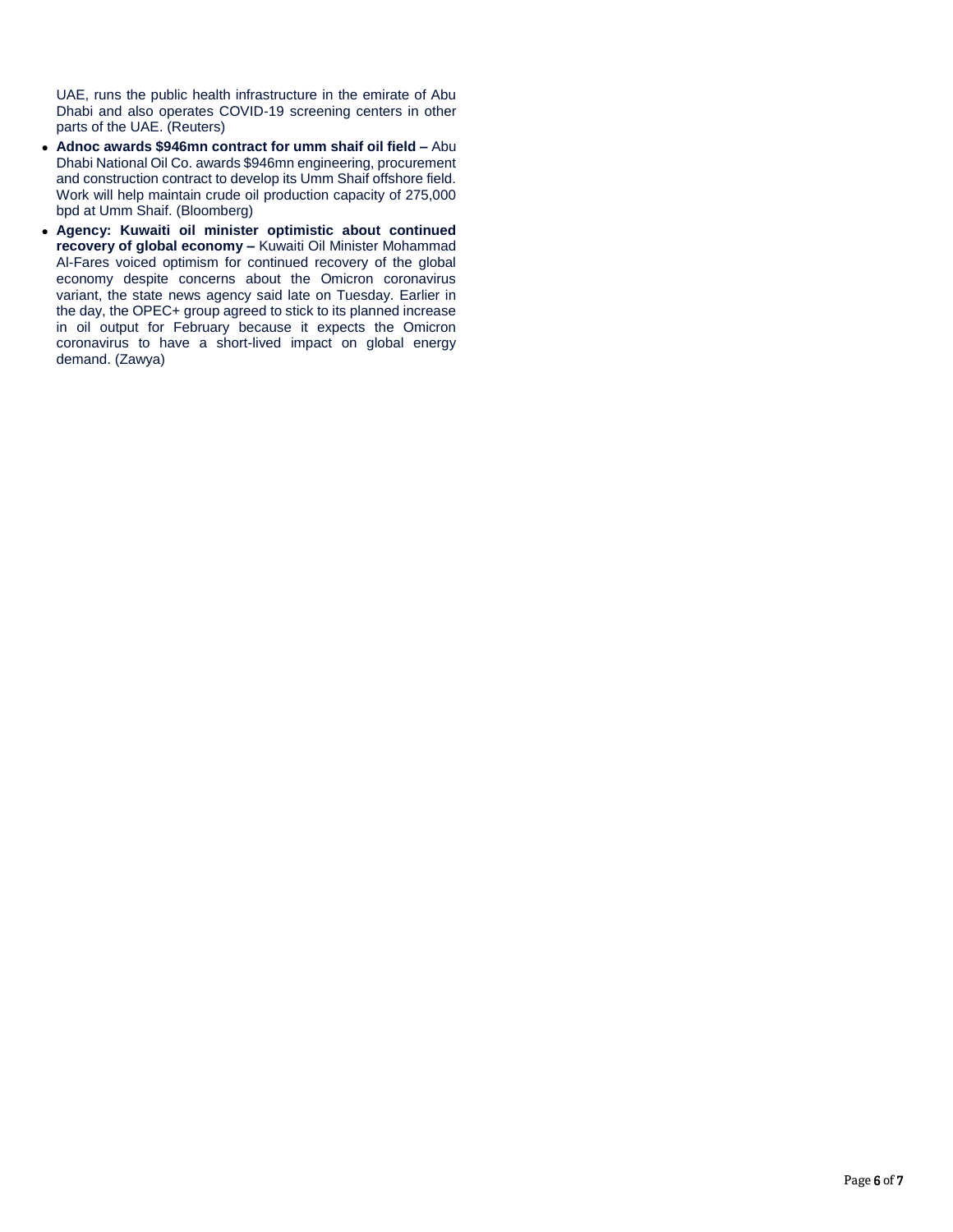UAE, runs the public health infrastructure in the emirate of Abu Dhabi and also operates COVID-19 screening centers in other parts of the UAE. (Reuters)

- **Adnoc awards \$946mn contract for umm shaif oil field –** Abu Dhabi National Oil Co. awards \$946mn engineering, procurement and construction contract to develop its Umm Shaif offshore field. Work will help maintain crude oil production capacity of 275,000 bpd at Umm Shaif. (Bloomberg)
- **Agency: Kuwaiti oil minister optimistic about continued recovery of global economy –** Kuwaiti Oil Minister Mohammad Al-Fares voiced optimism for continued recovery of the global economy despite concerns about the Omicron coronavirus variant, the state news agency said late on Tuesday. Earlier in the day, the OPEC+ group agreed to stick to its planned increase in oil output for February because it expects the Omicron coronavirus to have a short-lived impact on global energy demand. (Zawya)